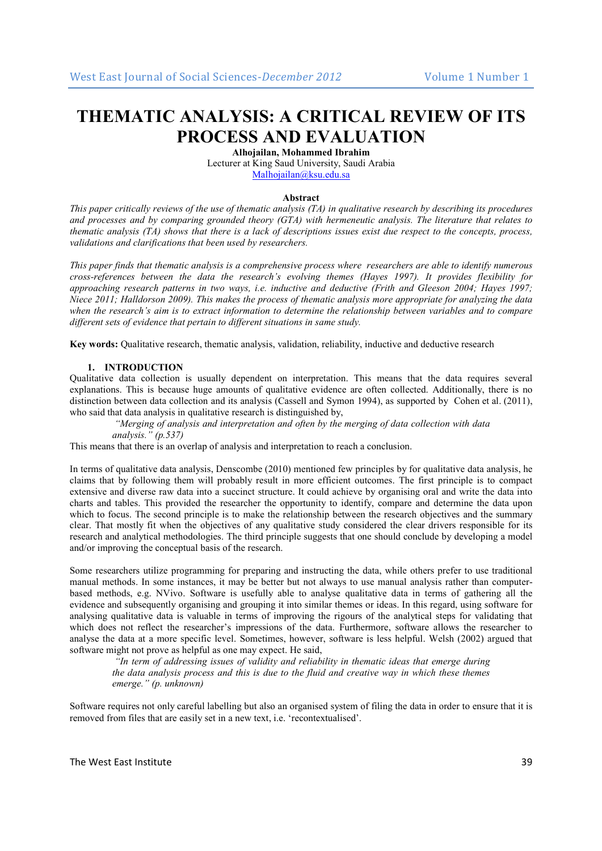# **THEMATIC ANALYSIS: A CRITICAL REVIEW OF ITS PROCESS AND EVALUATION**

**Alhojailan, Mohammed Ibrahim** 

Lecturer at King Saud University, Saudi Arabia Malhojailan@ksu.edu.sa

#### **Abstract**

*This paper critically reviews of the use of thematic analysis (TA) in qualitative research by describing its procedures and processes and by comparing grounded theory (GTA) with hermeneutic analysis. The literature that relates to thematic analysis (TA) shows that there is a lack of descriptions issues exist due respect to the concepts, process, validations and clarifications that been used by researchers.* 

*This paper finds that thematic analysis is a comprehensive process where researchers are able to identify numerous cross-references between the data the research's evolving themes (Hayes 1997). It provides flexibility for approaching research patterns in two ways, i.e. inductive and deductive (Frith and Gleeson 2004; Hayes 1997; Niece 2011; Halldorson 2009). This makes the process of thematic analysis more appropriate for analyzing the data when the research's aim is to extract information to determine the relationship between variables and to compare different sets of evidence that pertain to different situations in same study.* 

**Key words:** Qualitative research, thematic analysis, validation, reliability, inductive and deductive research

# **1. INTRODUCTION**

Qualitative data collection is usually dependent on interpretation. This means that the data requires several explanations. This is because huge amounts of qualitative evidence are often collected. Additionally, there is no distinction between data collection and its analysis (Cassell and Symon 1994), as supported by Cohen et al. (2011), who said that data analysis in qualitative research is distinguished by,

 *"Merging of analysis and interpretation and often by the merging of data collection with data analysis." (p.537)* 

This means that there is an overlap of analysis and interpretation to reach a conclusion.

In terms of qualitative data analysis, Denscombe (2010) mentioned few principles by for qualitative data analysis, he claims that by following them will probably result in more efficient outcomes. The first principle is to compact extensive and diverse raw data into a succinct structure. It could achieve by organising oral and write the data into charts and tables. This provided the researcher the opportunity to identify, compare and determine the data upon which to focus. The second principle is to make the relationship between the research objectives and the summary clear. That mostly fit when the objectives of any qualitative study considered the clear drivers responsible for its research and analytical methodologies. The third principle suggests that one should conclude by developing a model and/or improving the conceptual basis of the research.

Some researchers utilize programming for preparing and instructing the data, while others prefer to use traditional manual methods. In some instances, it may be better but not always to use manual analysis rather than computerbased methods, e.g. NVivo. Software is usefully able to analyse qualitative data in terms of gathering all the evidence and subsequently organising and grouping it into similar themes or ideas. In this regard, using software for analysing qualitative data is valuable in terms of improving the rigours of the analytical steps for validating that which does not reflect the researcher's impressions of the data. Furthermore, software allows the researcher to analyse the data at a more specific level. Sometimes, however, software is less helpful. Welsh (2002) argued that software might not prove as helpful as one may expect. He said,

 *"In term of addressing issues of validity and reliability in thematic ideas that emerge during the data analysis process and this is due to the fluid and creative way in which these themes emerge." (p. unknown)* 

Software requires not only careful labelling but also an organised system of filing the data in order to ensure that it is removed from files that are easily set in a new text, i.e. 'recontextualised'.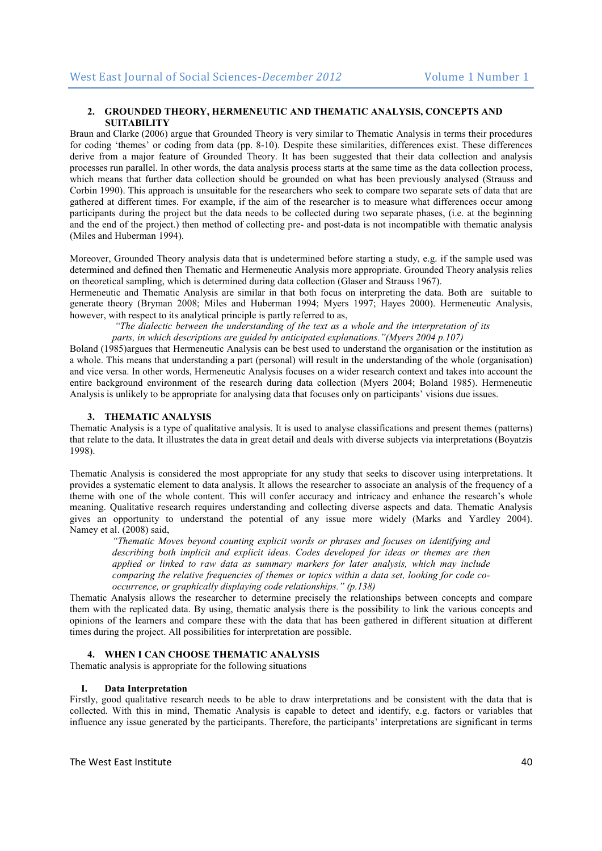# **2. GROUNDED THEORY, HERMENEUTIC AND THEMATIC ANALYSIS, CONCEPTS AND SUITABILITY**

Braun and Clarke (2006) argue that Grounded Theory is very similar to Thematic Analysis in terms their procedures for coding 'themes' or coding from data (pp. 8-10). Despite these similarities, differences exist. These differences derive from a major feature of Grounded Theory. It has been suggested that their data collection and analysis processes run parallel. In other words, the data analysis process starts at the same time as the data collection process, which means that further data collection should be grounded on what has been previously analysed (Strauss and Corbin 1990). This approach is unsuitable for the researchers who seek to compare two separate sets of data that are gathered at different times. For example, if the aim of the researcher is to measure what differences occur among participants during the project but the data needs to be collected during two separate phases, (i.e. at the beginning and the end of the project.) then method of collecting pre- and post-data is not incompatible with thematic analysis (Miles and Huberman 1994).

Moreover, Grounded Theory analysis data that is undetermined before starting a study, e.g. if the sample used was determined and defined then Thematic and Hermeneutic Analysis more appropriate. Grounded Theory analysis relies on theoretical sampling, which is determined during data collection (Glaser and Strauss 1967).

Hermeneutic and Thematic Analysis are similar in that both focus on interpreting the data. Both are suitable to generate theory (Bryman 2008; Miles and Huberman 1994; Myers 1997; Hayes 2000). Hermeneutic Analysis, however, with respect to its analytical principle is partly referred to as,

 *"The dialectic between the understanding of the text as a whole and the interpretation of its parts, in which descriptions are guided by anticipated explanations."(Myers 2004 p.107)* 

Boland (1985)argues that Hermeneutic Analysis can be best used to understand the organisation or the institution as a whole. This means that understanding a part (personal) will result in the understanding of the whole (organisation) and vice versa. In other words, Hermeneutic Analysis focuses on a wider research context and takes into account the entire background environment of the research during data collection (Myers 2004; Boland 1985). Hermeneutic Analysis is unlikely to be appropriate for analysing data that focuses only on participants' visions due issues.

# **3. THEMATIC ANALYSIS**

Thematic Analysis is a type of qualitative analysis. It is used to analyse classifications and present themes (patterns) that relate to the data. It illustrates the data in great detail and deals with diverse subjects via interpretations (Boyatzis 1998).

Thematic Analysis is considered the most appropriate for any study that seeks to discover using interpretations. It provides a systematic element to data analysis. It allows the researcher to associate an analysis of the frequency of a theme with one of the whole content. This will confer accuracy and intricacy and enhance the research's whole meaning. Qualitative research requires understanding and collecting diverse aspects and data. Thematic Analysis gives an opportunity to understand the potential of any issue more widely (Marks and Yardley 2004). Namey et al. (2008) said,

*"Thematic Moves beyond counting explicit words or phrases and focuses on identifying and describing both implicit and explicit ideas. Codes developed for ideas or themes are then applied or linked to raw data as summary markers for later analysis, which may include comparing the relative frequencies of themes or topics within a data set, looking for code cooccurrence, or graphically displaying code relationships." (p.138)* 

Thematic Analysis allows the researcher to determine precisely the relationships between concepts and compare them with the replicated data. By using, thematic analysis there is the possibility to link the various concepts and opinions of the learners and compare these with the data that has been gathered in different situation at different times during the project. All possibilities for interpretation are possible.

## **4. WHEN I CAN CHOOSE THEMATIC ANALYSIS**

Thematic analysis is appropriate for the following situations

## **I. Data Interpretation**

Firstly, good qualitative research needs to be able to draw interpretations and be consistent with the data that is collected. With this in mind, Thematic Analysis is capable to detect and identify, e.g. factors or variables that influence any issue generated by the participants. Therefore, the participants' interpretations are significant in terms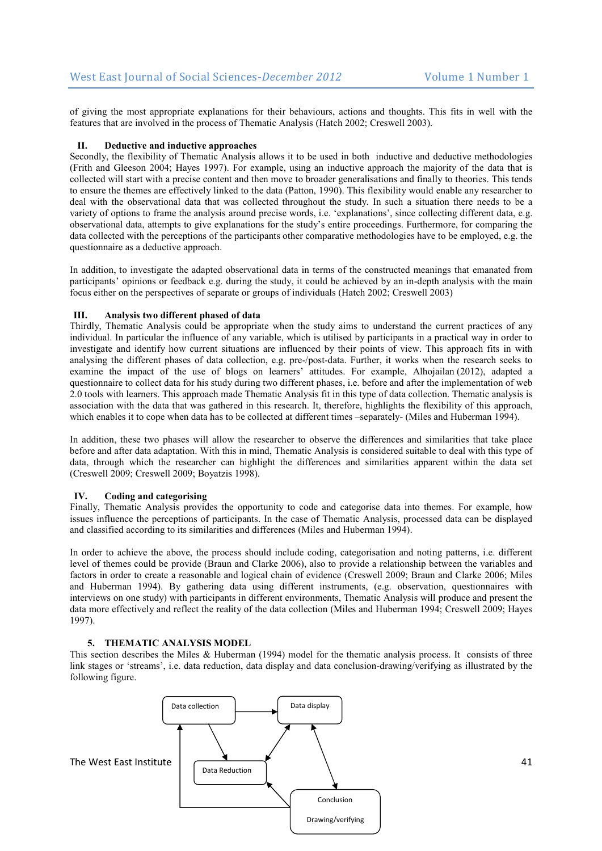of giving the most appropriate explanations for their behaviours, actions and thoughts. This fits in well with the features that are involved in the process of Thematic Analysis (Hatch 2002; Creswell 2003).

# **II. Deductive and inductive approaches**

Secondly, the flexibility of Thematic Analysis allows it to be used in both inductive and deductive methodologies (Frith and Gleeson 2004; Hayes 1997). For example, using an inductive approach the majority of the data that is collected will start with a precise content and then move to broader generalisations and finally to theories. This tends to ensure the themes are effectively linked to the data (Patton, 1990). This flexibility would enable any researcher to deal with the observational data that was collected throughout the study. In such a situation there needs to be a variety of options to frame the analysis around precise words, i.e. 'explanations', since collecting different data, e.g. observational data, attempts to give explanations for the study's entire proceedings. Furthermore, for comparing the data collected with the perceptions of the participants other comparative methodologies have to be employed, e.g. the questionnaire as a deductive approach.

In addition, to investigate the adapted observational data in terms of the constructed meanings that emanated from participants' opinions or feedback e.g. during the study, it could be achieved by an in-depth analysis with the main focus either on the perspectives of separate or groups of individuals (Hatch 2002; Creswell 2003)

## **III. Analysis two different phased of data**

Thirdly, Thematic Analysis could be appropriate when the study aims to understand the current practices of any individual. In particular the influence of any variable, which is utilised by participants in a practical way in order to investigate and identify how current situations are influenced by their points of view. This approach fits in with analysing the different phases of data collection, e.g. pre-/post-data. Further, it works when the research seeks to examine the impact of the use of blogs on learners' attitudes. For example, Alhojailan (2012), adapted a questionnaire to collect data for his study during two different phases, i.e. before and after the implementation of web 2.0 tools with learners. This approach made Thematic Analysis fit in this type of data collection. Thematic analysis is association with the data that was gathered in this research. It, therefore, highlights the flexibility of this approach, which enables it to cope when data has to be collected at different times –separately- (Miles and Huberman 1994).

In addition, these two phases will allow the researcher to observe the differences and similarities that take place before and after data adaptation. With this in mind, Thematic Analysis is considered suitable to deal with this type of data, through which the researcher can highlight the differences and similarities apparent within the data set (Creswell 2009; Creswell 2009; Boyatzis 1998).

## **IV. Coding and categorising**

Finally, Thematic Analysis provides the opportunity to code and categorise data into themes. For example, how issues influence the perceptions of participants. In the case of Thematic Analysis, processed data can be displayed and classified according to its similarities and differences (Miles and Huberman 1994).

In order to achieve the above, the process should include coding, categorisation and noting patterns, i.e. different level of themes could be provide (Braun and Clarke 2006), also to provide a relationship between the variables and factors in order to create a reasonable and logical chain of evidence (Creswell 2009; Braun and Clarke 2006; Miles and Huberman 1994). By gathering data using different instruments, (e.g. observation, questionnaires with interviews on one study) with participants in different environments, Thematic Analysis will produce and present the data more effectively and reflect the reality of the data collection (Miles and Huberman 1994; Creswell 2009; Hayes 1997).

#### **5. THEMATIC ANALYSIS MODEL**

This section describes the Miles & Huberman (1994) model for the thematic analysis process. It consists of three link stages or 'streams', i.e. data reduction, data display and data conclusion-drawing/verifying as illustrated by the following figure.

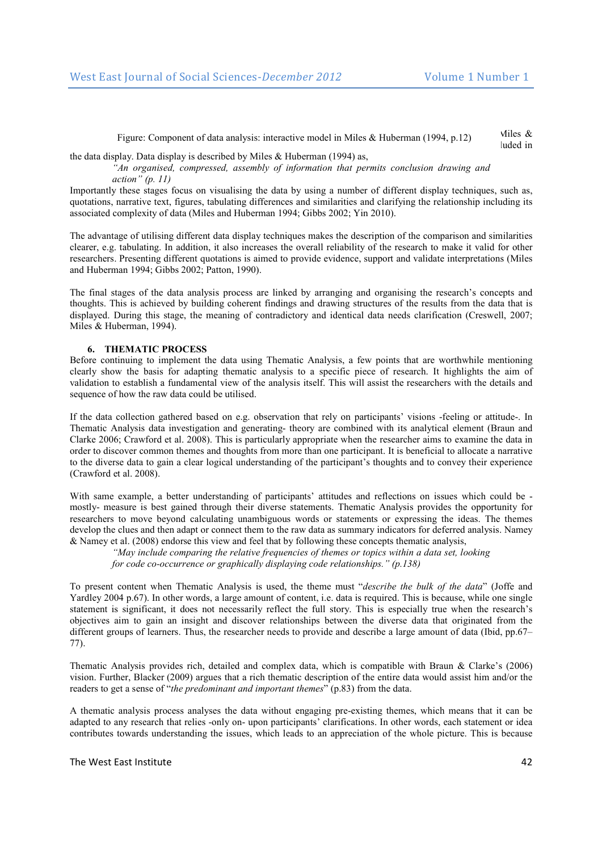Figure: Component of data analysis: interactive model in Miles & Huberman (1994, p.12) Miles &

 $\frac{1}{2}$  and  $\frac{1}{2}$  are defined in this state, new thoughts are developed in terms of  $\frac{1}{2}$  and  $\frac{1}{2}$  included in the data display. Data display is described by Miles  $&$  Huberman (1994) as,

*"An organised, compressed, assembly of information that permits conclusion drawing and action" (p. 11)* 

Importantly these stages focus on visualising the data by using a number of different display techniques, such as, quotations, narrative text, figures, tabulating differences and similarities and clarifying the relationship including its associated complexity of data (Miles and Huberman 1994; Gibbs 2002; Yin 2010).

The advantage of utilising different data display techniques makes the description of the comparison and similarities clearer, e.g. tabulating. In addition, it also increases the overall reliability of the research to make it valid for other researchers. Presenting different quotations is aimed to provide evidence, support and validate interpretations (Miles and Huberman 1994; Gibbs 2002; Patton, 1990).

The final stages of the data analysis process are linked by arranging and organising the research's concepts and thoughts. This is achieved by building coherent findings and drawing structures of the results from the data that is displayed. During this stage, the meaning of contradictory and identical data needs clarification (Creswell, 2007; Miles & Huberman, 1994).

# **6. THEMATIC PROCESS**

Before continuing to implement the data using Thematic Analysis, a few points that are worthwhile mentioning clearly show the basis for adapting thematic analysis to a specific piece of research. It highlights the aim of validation to establish a fundamental view of the analysis itself. This will assist the researchers with the details and sequence of how the raw data could be utilised.

If the data collection gathered based on e.g. observation that rely on participants' visions -feeling or attitude-. In Thematic Analysis data investigation and generating- theory are combined with its analytical element (Braun and Clarke 2006; Crawford et al. 2008). This is particularly appropriate when the researcher aims to examine the data in order to discover common themes and thoughts from more than one participant. It is beneficial to allocate a narrative to the diverse data to gain a clear logical understanding of the participant's thoughts and to convey their experience (Crawford et al. 2008).

With same example, a better understanding of participants' attitudes and reflections on issues which could be mostly- measure is best gained through their diverse statements. Thematic Analysis provides the opportunity for researchers to move beyond calculating unambiguous words or statements or expressing the ideas. The themes develop the clues and then adapt or connect them to the raw data as summary indicators for deferred analysis. Namey & Namey et al. (2008) endorse this view and feel that by following these concepts thematic analysis,

*"May include comparing the relative frequencies of themes or topics within a data set, looking for code co-occurrence or graphically displaying code relationships." (p.138)* 

To present content when Thematic Analysis is used, the theme must "*describe the bulk of the data*" (Joffe and Yardley 2004 p.67). In other words, a large amount of content, i.e. data is required. This is because, while one single statement is significant, it does not necessarily reflect the full story. This is especially true when the research's objectives aim to gain an insight and discover relationships between the diverse data that originated from the different groups of learners. Thus, the researcher needs to provide and describe a large amount of data (Ibid, pp.67– 77).

Thematic Analysis provides rich, detailed and complex data, which is compatible with Braun & Clarke's (2006) vision. Further, Blacker (2009) argues that a rich thematic description of the entire data would assist him and/or the readers to get a sense of "*the predominant and important themes*" (p.83) from the data.

A thematic analysis process analyses the data without engaging pre-existing themes, which means that it can be adapted to any research that relies -only on- upon participants' clarifications. In other words, each statement or idea contributes towards understanding the issues, which leads to an appreciation of the whole picture. This is because

The West East Institute 42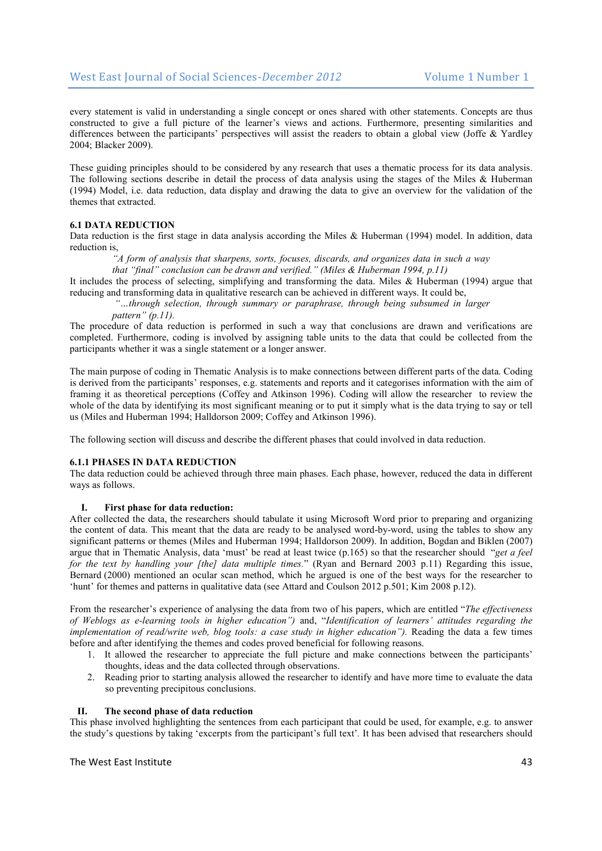every statement is valid in understanding a single concept or ones shared with other statements. Concepts are thus constructed to give a full picture of the learner's views and actions. Furthermore, presenting similarities and differences between the participants' perspectives will assist the readers to obtain a global view (Joffe & Yardley 2004; Blacker 2009).

These guiding principles should to be considered by any research that uses a thematic process for its data analysis. The following sections describe in detail the process of data analysis using the stages of the Miles & Huberman (1994) Model, i.e. data reduction, data display and drawing the data to give an overview for the validation of the themes that extracted.

## **6.1 DATA REDUCTION**

Data reduction is the first stage in data analysis according the Miles & Huberman (1994) model. In addition, data reduction is,

*"A form of analysis that sharpens, sorts, focuses, discards, and organizes data in such a way* 

*that "final" conclusion can be drawn and verified." (Miles & Huberman 1994, p.11)* 

It includes the process of selecting, simplifying and transforming the data. Miles & Huberman (1994) argue that reducing and transforming data in qualitative research can be achieved in different ways. It could be,

 *"…through selection, through summary or paraphrase, through being subsumed in larger pattern" (p.11).* 

The procedure of data reduction is performed in such a way that conclusions are drawn and verifications are completed. Furthermore, coding is involved by assigning table units to the data that could be collected from the participants whether it was a single statement or a longer answer.

The main purpose of coding in Thematic Analysis is to make connections between different parts of the data. Coding is derived from the participants' responses, e.g. statements and reports and it categorises information with the aim of framing it as theoretical perceptions (Coffey and Atkinson 1996). Coding will allow the researcher to review the whole of the data by identifying its most significant meaning or to put it simply what is the data trying to say or tell us (Miles and Huberman 1994; Halldorson 2009; Coffey and Atkinson 1996).

The following section will discuss and describe the different phases that could involved in data reduction.

## **6.1.1 PHASES IN DATA REDUCTION**

The data reduction could be achieved through three main phases. Each phase, however, reduced the data in different ways as follows.

#### **I. First phase for data reduction:**

After collected the data, the researchers should tabulate it using Microsoft Word prior to preparing and organizing the content of data. This meant that the data are ready to be analysed word-by-word, using the tables to show any significant patterns or themes (Miles and Huberman 1994; Halldorson 2009). In addition, Bogdan and Biklen (2007) argue that in Thematic Analysis, data 'must' be read at least twice (p.165) so that the researcher should "*get a feel for the text by handling your [the] data multiple times.*" (Ryan and Bernard 2003 p.11) Regarding this issue, Bernard (2000) mentioned an ocular scan method, which he argued is one of the best ways for the researcher to 'hunt' for themes and patterns in qualitative data (see Attard and Coulson 2012 p.501; Kim 2008 p.12).

From the researcher's experience of analysing the data from two of his papers, which are entitled "*The effectiveness of Weblogs as e-learning tools in higher education")* and, "*Identification of learners' attitudes regarding the implementation of read/write web, blog tools: a case study in higher education").* Reading the data a few times before and after identifying the themes and codes proved beneficial for following reasons.

- 1. It allowed the researcher to appreciate the full picture and make connections between the participants' thoughts, ideas and the data collected through observations.
- 2. Reading prior to starting analysis allowed the researcher to identify and have more time to evaluate the data so preventing precipitous conclusions.

#### **II. The second phase of data reduction**

This phase involved highlighting the sentences from each participant that could be used, for example, e.g. to answer the study's questions by taking 'excerpts from the participant's full text'*.* It has been advised that researchers should

## The West Fast Institute 43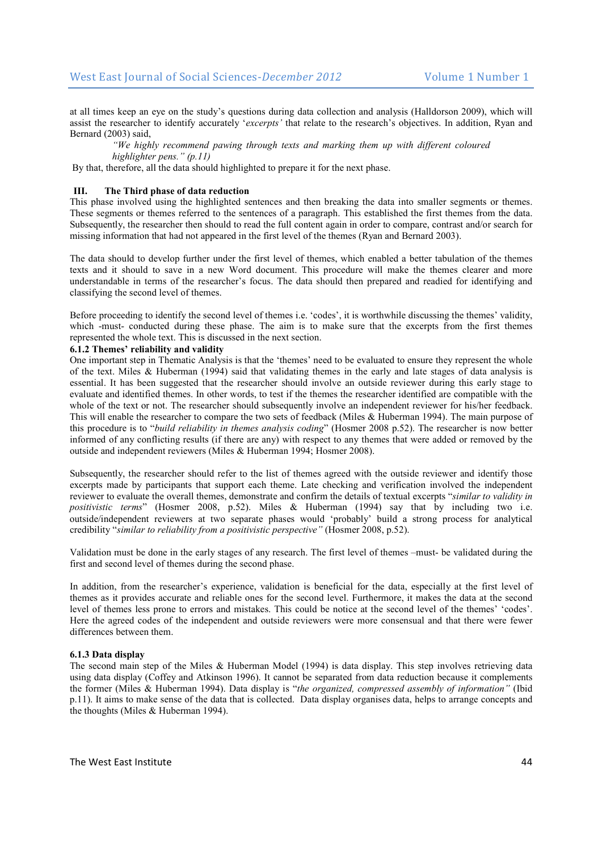at all times keep an eye on the study's questions during data collection and analysis (Halldorson 2009), which will assist the researcher to identify accurately '*excerpts'* that relate to the research's objectives. In addition, Ryan and Bernard (2003) said,

*"We highly recommend pawing through texts and marking them up with different coloured highlighter pens." (p.11)* 

By that, therefore, all the data should highlighted to prepare it for the next phase.

# **III. The Third phase of data reduction**

This phase involved using the highlighted sentences and then breaking the data into smaller segments or themes. These segments or themes referred to the sentences of a paragraph. This established the first themes from the data. Subsequently, the researcher then should to read the full content again in order to compare, contrast and/or search for missing information that had not appeared in the first level of the themes (Ryan and Bernard 2003).

The data should to develop further under the first level of themes, which enabled a better tabulation of the themes texts and it should to save in a new Word document. This procedure will make the themes clearer and more understandable in terms of the researcher's focus. The data should then prepared and readied for identifying and classifying the second level of themes.

Before proceeding to identify the second level of themes i.e. 'codes', it is worthwhile discussing the themes' validity, which -must- conducted during these phase. The aim is to make sure that the excerpts from the first themes represented the whole text. This is discussed in the next section.

## **6.1.2 Themes' reliability and validity**

One important step in Thematic Analysis is that the 'themes' need to be evaluated to ensure they represent the whole of the text. Miles & Huberman (1994) said that validating themes in the early and late stages of data analysis is essential. It has been suggested that the researcher should involve an outside reviewer during this early stage to evaluate and identified themes. In other words, to test if the themes the researcher identified are compatible with the whole of the text or not. The researcher should subsequently involve an independent reviewer for his/her feedback. This will enable the researcher to compare the two sets of feedback (Miles & Huberman 1994). The main purpose of this procedure is to "*build reliability in themes analysis coding*" (Hosmer 2008 p.52). The researcher is now better informed of any conflicting results (if there are any) with respect to any themes that were added or removed by the outside and independent reviewers (Miles & Huberman 1994; Hosmer 2008).

Subsequently, the researcher should refer to the list of themes agreed with the outside reviewer and identify those excerpts made by participants that support each theme. Late checking and verification involved the independent reviewer to evaluate the overall themes, demonstrate and confirm the details of textual excerpts "*similar to validity in positivistic terms*" (Hosmer 2008, p.52). Miles & Huberman (1994) say that by including two i.e. outside/independent reviewers at two separate phases would 'probably' build a strong process for analytical credibility "*similar to reliability from a positivistic perspective"* (Hosmer 2008, p.52).

Validation must be done in the early stages of any research. The first level of themes –must- be validated during the first and second level of themes during the second phase.

In addition, from the researcher's experience, validation is beneficial for the data, especially at the first level of themes as it provides accurate and reliable ones for the second level. Furthermore, it makes the data at the second level of themes less prone to errors and mistakes. This could be notice at the second level of the themes' 'codes'. Here the agreed codes of the independent and outside reviewers were more consensual and that there were fewer differences between them.

#### **6.1.3 Data display**

The second main step of the Miles & Huberman Model (1994) is data display. This step involves retrieving data using data display (Coffey and Atkinson 1996). It cannot be separated from data reduction because it complements the former (Miles & Huberman 1994). Data display is "*the organized, compressed assembly of information"* (Ibid p.11). It aims to make sense of the data that is collected. Data display organises data, helps to arrange concepts and the thoughts (Miles & Huberman 1994).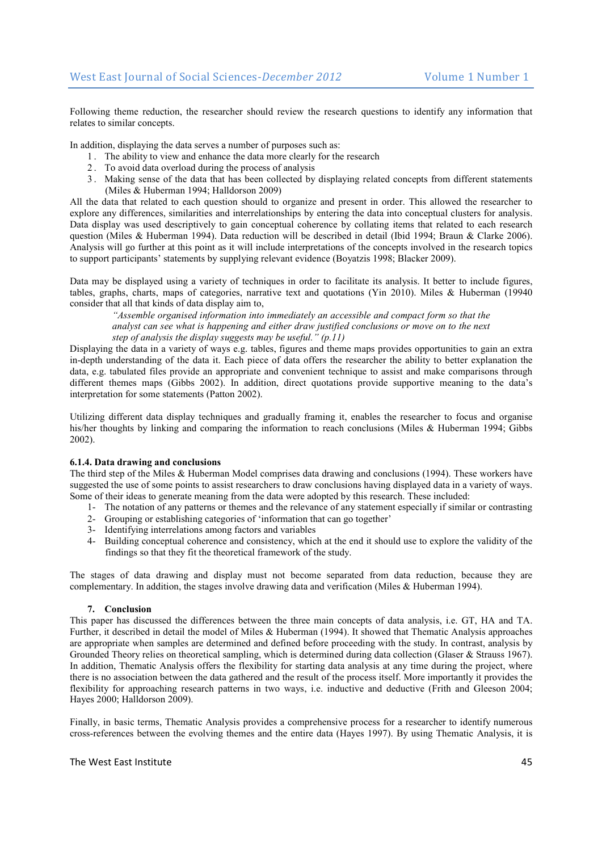Following theme reduction, the researcher should review the research questions to identify any information that relates to similar concepts.

In addition, displaying the data serves a number of purposes such as:

- 1 . The ability to view and enhance the data more clearly for the research
- 2 . To avoid data overload during the process of analysis
- 3 . Making sense of the data that has been collected by displaying related concepts from different statements (Miles & Huberman 1994; Halldorson 2009)

All the data that related to each question should to organize and present in order. This allowed the researcher to explore any differences, similarities and interrelationships by entering the data into conceptual clusters for analysis. Data display was used descriptively to gain conceptual coherence by collating items that related to each research question (Miles & Huberman 1994). Data reduction will be described in detail (Ibid 1994; Braun & Clarke 2006). Analysis will go further at this point as it will include interpretations of the concepts involved in the research topics to support participants' statements by supplying relevant evidence (Boyatzis 1998; Blacker 2009).

Data may be displayed using a variety of techniques in order to facilitate its analysis. It better to include figures, tables, graphs, charts, maps of categories, narrative text and quotations (Yin 2010). Miles & Huberman (19940 consider that all that kinds of data display aim to,

*"Assemble organised information into immediately an accessible and compact form so that the analyst can see what is happening and either draw justified conclusions or move on to the next step of analysis the display suggests may be useful." (p.11)* 

Displaying the data in a variety of ways e.g. tables, figures and theme maps provides opportunities to gain an extra in-depth understanding of the data it. Each piece of data offers the researcher the ability to better explanation the data, e.g. tabulated files provide an appropriate and convenient technique to assist and make comparisons through different themes maps (Gibbs 2002). In addition, direct quotations provide supportive meaning to the data's interpretation for some statements (Patton 2002).

Utilizing different data display techniques and gradually framing it, enables the researcher to focus and organise his/her thoughts by linking and comparing the information to reach conclusions (Miles & Huberman 1994; Gibbs 2002).

#### **6.1.4. Data drawing and conclusions**

The third step of the Miles & Huberman Model comprises data drawing and conclusions (1994). These workers have suggested the use of some points to assist researchers to draw conclusions having displayed data in a variety of ways. Some of their ideas to generate meaning from the data were adopted by this research. These included:

- 1- The notation of any patterns or themes and the relevance of any statement especially if similar or contrasting
- 2- Grouping or establishing categories of 'information that can go together'
- 3- Identifying interrelations among factors and variables
- 4- Building conceptual coherence and consistency, which at the end it should use to explore the validity of the findings so that they fit the theoretical framework of the study.

The stages of data drawing and display must not become separated from data reduction, because they are complementary. In addition, the stages involve drawing data and verification (Miles & Huberman 1994).

#### **7. Conclusion**

This paper has discussed the differences between the three main concepts of data analysis, i.e. GT, HA and TA. Further, it described in detail the model of Miles & Huberman (1994). It showed that Thematic Analysis approaches are appropriate when samples are determined and defined before proceeding with the study. In contrast, analysis by Grounded Theory relies on theoretical sampling, which is determined during data collection (Glaser & Strauss 1967). In addition, Thematic Analysis offers the flexibility for starting data analysis at any time during the project, where there is no association between the data gathered and the result of the process itself. More importantly it provides the flexibility for approaching research patterns in two ways, i.e. inductive and deductive (Frith and Gleeson 2004; Hayes 2000; Halldorson 2009).

Finally, in basic terms, Thematic Analysis provides a comprehensive process for a researcher to identify numerous cross-references between the evolving themes and the entire data (Hayes 1997). By using Thematic Analysis, it is

#### The West Fast Institute 45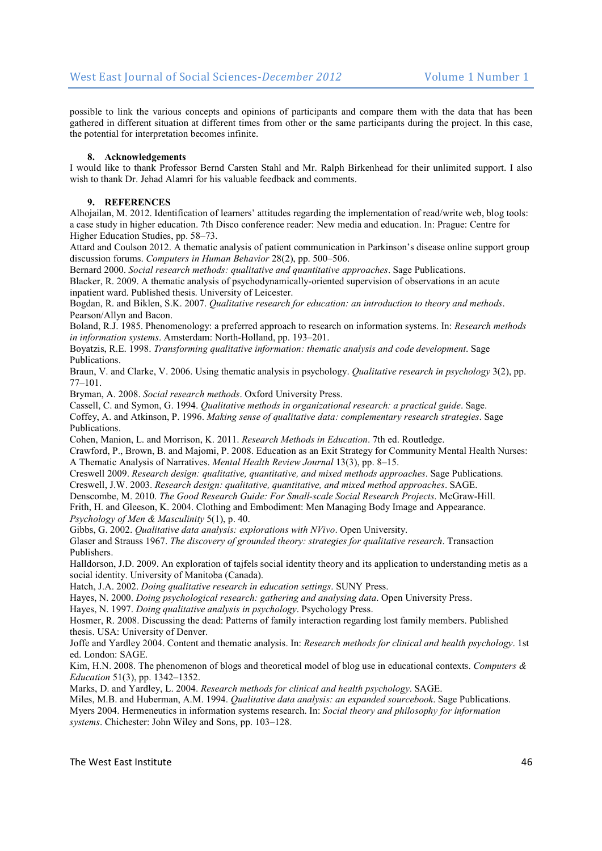possible to link the various concepts and opinions of participants and compare them with the data that has been gathered in different situation at different times from other or the same participants during the project. In this case, the potential for interpretation becomes infinite.

#### **8. Acknowledgements**

I would like to thank Professor Bernd Carsten Stahl and Mr. Ralph Birkenhead for their unlimited support. I also wish to thank Dr. Jehad Alamri for his valuable feedback and comments.

## **9. REFERENCES**

Alhojailan, M. 2012. Identification of learners' attitudes regarding the implementation of read/write web, blog tools: a case study in higher education. 7th Disco conference reader: New media and education. In: Prague: Centre for Higher Education Studies, pp. 58–73.

Attard and Coulson 2012. A thematic analysis of patient communication in Parkinson's disease online support group discussion forums. *Computers in Human Behavior* 28(2), pp. 500–506.

Bernard 2000. *Social research methods: qualitative and quantitative approaches*. Sage Publications. Blacker, R. 2009. A thematic analysis of psychodynamically-oriented supervision of observations in an acute inpatient ward. Published thesis. University of Leicester.

Bogdan, R. and Biklen, S.K. 2007. *Qualitative research for education: an introduction to theory and methods*. Pearson/Allyn and Bacon.

Boland, R.J. 1985. Phenomenology: a preferred approach to research on information systems. In: *Research methods in information systems*. Amsterdam: North-Holland, pp. 193–201.

Boyatzis, R.E. 1998. *Transforming qualitative information: thematic analysis and code development*. Sage Publications.

Braun, V. and Clarke, V. 2006. Using thematic analysis in psychology. *Qualitative research in psychology* 3(2), pp. 77–101.

Bryman, A. 2008. *Social research methods*. Oxford University Press.

Cassell, C. and Symon, G. 1994. *Qualitative methods in organizational research: a practical guide*. Sage. Coffey, A. and Atkinson, P. 1996. *Making sense of qualitative data: complementary research strategies*. Sage Publications.

Cohen, Manion, L. and Morrison, K. 2011. *Research Methods in Education*. 7th ed. Routledge.

Crawford, P., Brown, B. and Majomi, P. 2008. Education as an Exit Strategy for Community Mental Health Nurses: A Thematic Analysis of Narratives. *Mental Health Review Journal* 13(3), pp. 8–15.

Creswell 2009. *Research design: qualitative, quantitative, and mixed methods approaches*. Sage Publications.

Creswell, J.W. 2003. *Research design: qualitative, quantitative, and mixed method approaches*. SAGE.

Denscombe, M. 2010. *The Good Research Guide: For Small-scale Social Research Projects*. McGraw-Hill. Frith, H. and Gleeson, K. 2004. Clothing and Embodiment: Men Managing Body Image and Appearance. *Psychology of Men & Masculinity* 5(1), p. 40.

Gibbs, G. 2002. *Qualitative data analysis: explorations with NVivo*. Open University.

Glaser and Strauss 1967. *The discovery of grounded theory: strategies for qualitative research*. Transaction Publishers.

Halldorson, J.D. 2009. An exploration of tajfels social identity theory and its application to understanding metis as a social identity. University of Manitoba (Canada).

Hatch, J.A. 2002. *Doing qualitative research in education settings*. SUNY Press.

Hayes, N. 2000. *Doing psychological research: gathering and analysing data*. Open University Press.

Hayes, N. 1997. *Doing qualitative analysis in psychology*. Psychology Press.

Hosmer, R. 2008. Discussing the dead: Patterns of family interaction regarding lost family members. Published thesis. USA: University of Denver.

Joffe and Yardley 2004. Content and thematic analysis. In: *Research methods for clinical and health psychology*. 1st ed. London: SAGE.

Kim, H.N. 2008. The phenomenon of blogs and theoretical model of blog use in educational contexts. *Computers & Education* 51(3), pp. 1342–1352.

Marks, D. and Yardley, L. 2004. *Research methods for clinical and health psychology*. SAGE.

Miles, M.B. and Huberman, A.M. 1994. *Qualitative data analysis: an expanded sourcebook*. Sage Publications. Myers 2004. Hermeneutics in information systems research. In: *Social theory and philosophy for information systems*. Chichester: John Wiley and Sons, pp. 103–128.